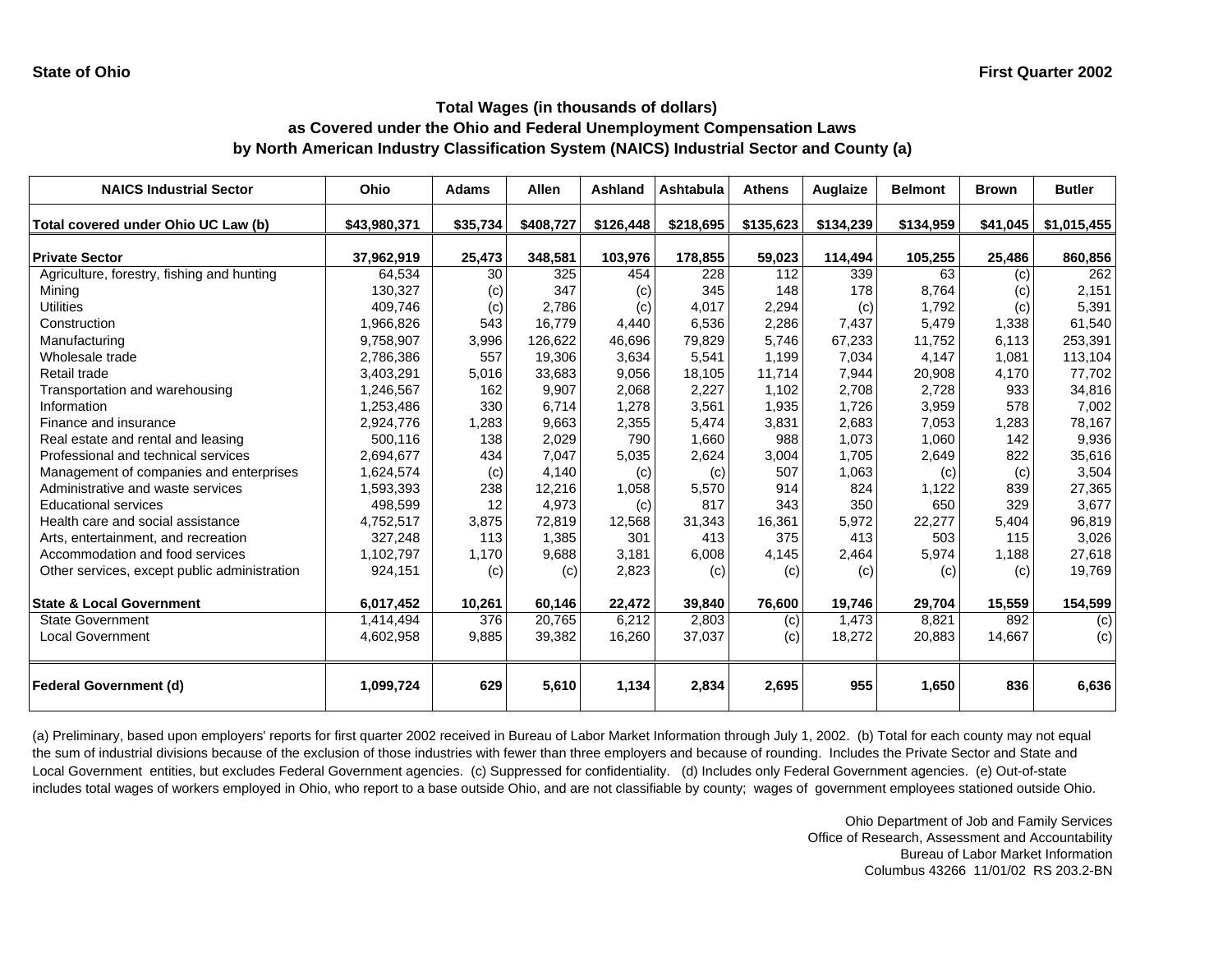| <b>NAICS Industrial Sector</b>               | Ohio         | <b>Adams</b> | <b>Allen</b> | Ashland   | Ashtabula | <b>Athens</b> | Auglaize  | <b>Belmont</b> | <b>Brown</b> | <b>Butler</b> |
|----------------------------------------------|--------------|--------------|--------------|-----------|-----------|---------------|-----------|----------------|--------------|---------------|
| Total covered under Ohio UC Law (b)          | \$43,980,371 | \$35,734     | \$408,727    | \$126,448 | \$218,695 | \$135,623     | \$134,239 | \$134,959      | \$41,045     | \$1,015,455   |
| <b>Private Sector</b>                        | 37,962,919   | 25,473       | 348,581      | 103,976   | 178,855   | 59,023        | 114,494   | 105,255        | 25,486       | 860,856       |
| Agriculture, forestry, fishing and hunting   | 64,534       | 30           | 325          | 454       | 228       | 112           | 339       | 63             | (c)          | 262           |
| Mining                                       | 130,327      | (c)          | 347          | (c)       | 345       | 148           | 178       | 8,764          | (c)          | 2,151         |
| <b>Utilities</b>                             | 409,746      | (c)          | 2,786        | (c)       | 4,017     | 2,294         | (c)       | 1,792          | (c)          | 5,391         |
| Construction                                 | 1,966,826    | 543          | 16,779       | 4,440     | 6,536     | 2,286         | 7,437     | 5,479          | 1,338        | 61,540        |
| Manufacturing                                | 9,758,907    | 3,996        | 126,622      | 46,696    | 79,829    | 5,746         | 67,233    | 11,752         | 6,113        | 253,391       |
| Wholesale trade                              | 2,786,386    | 557          | 19,306       | 3,634     | 5,541     | 1.199         | 7,034     | 4,147          | 1,081        | 113,104       |
| Retail trade                                 | 3,403,291    | 5,016        | 33,683       | 9,056     | 18,105    | 11,714        | 7,944     | 20,908         | 4,170        | 77,702        |
| Transportation and warehousing               | 1,246,567    | 162          | 9,907        | 2,068     | 2,227     | 1,102         | 2,708     | 2,728          | 933          | 34,816        |
| Information                                  | 1,253,486    | 330          | 6,714        | 1,278     | 3,561     | 1,935         | 1,726     | 3,959          | 578          | 7,002         |
| Finance and insurance                        | 2,924,776    | 1,283        | 9,663        | 2,355     | 5,474     | 3,831         | 2,683     | 7,053          | 1,283        | 78,167        |
| Real estate and rental and leasing           | 500,116      | 138          | 2,029        | 790       | 1,660     | 988           | 1,073     | 1,060          | 142          | 9,936         |
| Professional and technical services          | 2,694,677    | 434          | 7,047        | 5,035     | 2,624     | 3,004         | 1,705     | 2,649          | 822          | 35,616        |
| Management of companies and enterprises      | 1,624,574    | (c)          | 4,140        | (c)       | (c)       | 507           | 1,063     | (c)            | (c)          | 3,504         |
| Administrative and waste services            | 1,593,393    | 238          | 12,216       | 1,058     | 5,570     | 914           | 824       | 1,122          | 839          | 27,365        |
| <b>Educational services</b>                  | 498,599      | 12           | 4,973        | (c)       | 817       | 343           | 350       | 650            | 329          | 3,677         |
| Health care and social assistance            | 4,752,517    | 3,875        | 72,819       | 12,568    | 31,343    | 16,361        | 5,972     | 22,277         | 5,404        | 96,819        |
| Arts, entertainment, and recreation          | 327,248      | 113          | 1,385        | 301       | 413       | 375           | 413       | 503            | 115          | 3,026         |
| Accommodation and food services              | 1,102,797    | 1,170        | 9,688        | 3,181     | 6,008     | 4,145         | 2,464     | 5,974          | 1,188        | 27,618        |
| Other services, except public administration | 924,151      | (c)          | (c)          | 2,823     | (c)       | (c)           | (c)       | (c)            | (c)          | 19,769        |
| <b>State &amp; Local Government</b>          | 6,017,452    | 10,261       | 60,146       | 22,472    | 39,840    | 76,600        | 19,746    | 29,704         | 15,559       | 154,599       |
| <b>State Government</b>                      | 1,414,494    | 376          | 20,765       | 6,212     | 2,803     | (c)           | 1,473     | 8,821          | 892          | (c)           |
| <b>Local Government</b>                      | 4,602,958    | 9,885        | 39,382       | 16,260    | 37,037    | (c)           | 18,272    | 20,883         | 14,667       | (c)           |
| <b>Federal Government (d)</b>                | 1,099,724    | 629          | 5,610        | 1,134     | 2,834     | 2,695         | 955       | 1,650          | 836          | 6,636         |

(a) Preliminary, based upon employers' reports for first quarter 2002 received in Bureau of Labor Market Information through July 1, 2002. (b) Total for each county may not equal the sum of industrial divisions because of the exclusion of those industries with fewer than three employers and because of rounding. Includes the Private Sector and State and Local Government entities, but excludes Federal Government agencies. (c) Suppressed for confidentiality. (d) Includes only Federal Government agencies. (e) Out-of-state includes total wages of workers employed in Ohio, who report to a base outside Ohio, and are not classifiable by county; wages of government employees stationed outside Ohio.

> Ohio Department of Job and Family Services Office of Research, Assessment and Accountability Bureau of Labor Market Information Columbus 43266 11/01/02 RS 203.2-BN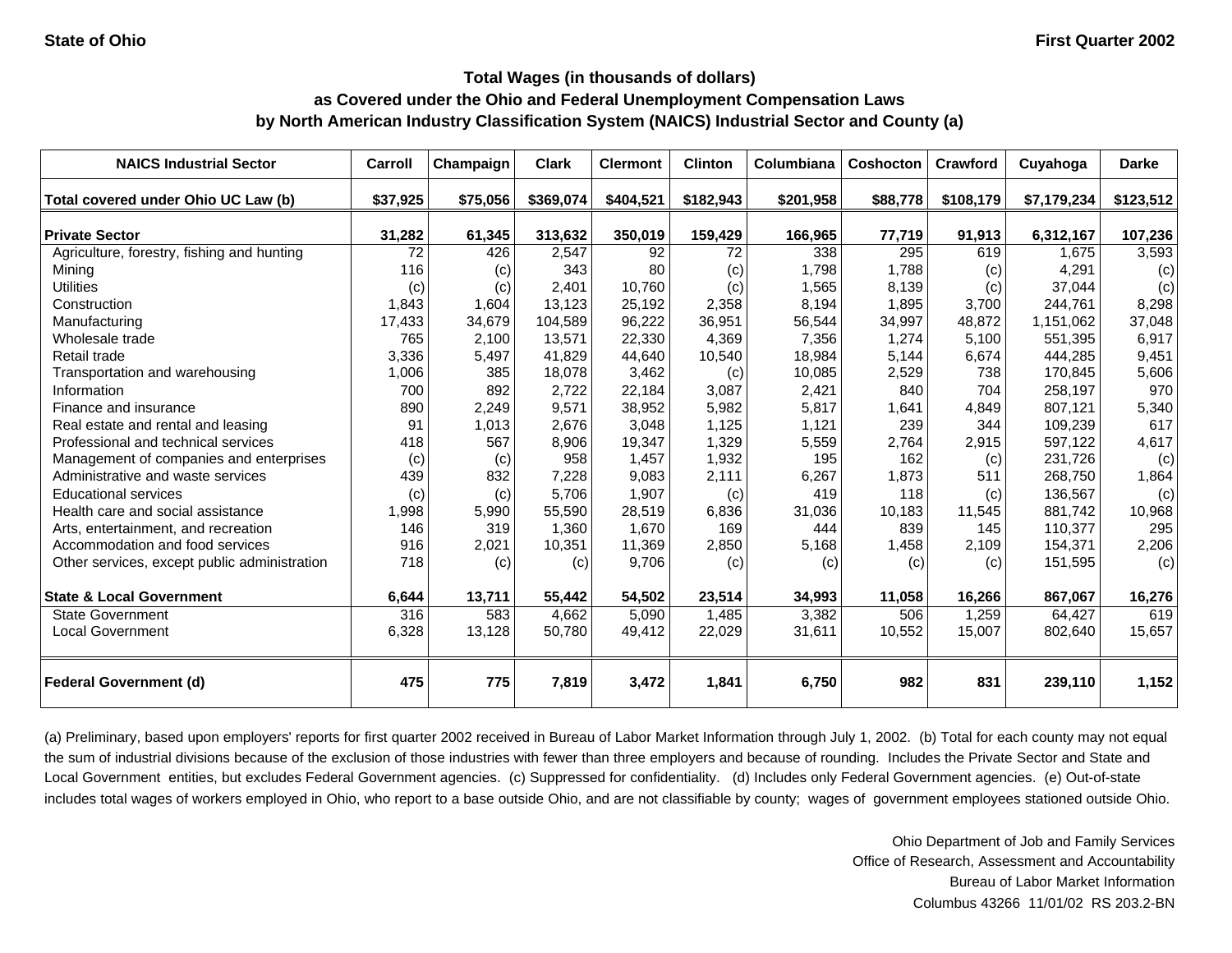| <b>NAICS Industrial Sector</b>               | Carroll  | Champaign | <b>Clark</b> | <b>Clermont</b> | <b>Clinton</b> | Columbiana | Coshocton | Crawford  | Cuyahoga    | <b>Darke</b> |
|----------------------------------------------|----------|-----------|--------------|-----------------|----------------|------------|-----------|-----------|-------------|--------------|
| Total covered under Ohio UC Law (b)          | \$37,925 | \$75,056  | \$369,074    | \$404,521       | \$182,943      | \$201,958  | \$88,778  | \$108,179 | \$7,179,234 | \$123,512    |
| <b>Private Sector</b>                        | 31,282   | 61,345    | 313,632      | 350,019         | 159,429        | 166,965    | 77,719    | 91,913    | 6,312,167   | 107,236      |
| Agriculture, forestry, fishing and hunting   | 72       | 426       | 2,547        | 92              | 72             | 338        | 295       | 619       | 1,675       | 3,593        |
| Mining                                       | 116      | (c)       | 343          | 80              | (c)            | 1,798      | 1,788     | (c)       | 4,291       | (c)          |
| <b>Utilities</b>                             | (c)      | (c)       | 2,401        | 10.760          | (c)            | 1,565      | 8,139     | (c)       | 37.044      | (c)          |
| Construction                                 | 1,843    | 1,604     | 13,123       | 25,192          | 2,358          | 8,194      | 1,895     | 3,700     | 244,761     | 8,298        |
| Manufacturing                                | 17,433   | 34,679    | 104,589      | 96,222          | 36,951         | 56,544     | 34,997    | 48,872    | 1,151,062   | 37,048       |
| Wholesale trade                              | 765      | 2,100     | 13,571       | 22,330          | 4,369          | 7,356      | 1,274     | 5,100     | 551,395     | 6,917        |
| Retail trade                                 | 3,336    | 5,497     | 41,829       | 44,640          | 10,540         | 18,984     | 5,144     | 6,674     | 444,285     | 9,451        |
| Transportation and warehousing               | 1,006    | 385       | 18,078       | 3,462           | (c)            | 10,085     | 2,529     | 738       | 170,845     | 5,606        |
| Information                                  | 700      | 892       | 2,722        | 22,184          | 3,087          | 2,421      | 840       | 704       | 258,197     | 970          |
| Finance and insurance                        | 890      | 2,249     | 9,571        | 38,952          | 5,982          | 5,817      | 1,641     | 4,849     | 807,121     | 5,340        |
| Real estate and rental and leasing           | 91       | 1,013     | 2,676        | 3,048           | 1,125          | 1,121      | 239       | 344       | 109,239     | 617          |
| Professional and technical services          | 418      | 567       | 8,906        | 19,347          | 1,329          | 5,559      | 2,764     | 2,915     | 597,122     | 4,617        |
| Management of companies and enterprises      | (c)      | (c)       | 958          | 1,457           | 1,932          | 195        | 162       | (c)       | 231,726     | (c)          |
| Administrative and waste services            | 439      | 832       | 7,228        | 9,083           | 2,111          | 6,267      | 1,873     | 511       | 268,750     | 1,864        |
| <b>Educational services</b>                  | (c)      | (c)       | 5,706        | 1,907           | (c)            | 419        | 118       | (c)       | 136,567     | (c)          |
| Health care and social assistance            | 1,998    | 5,990     | 55,590       | 28,519          | 6,836          | 31,036     | 10,183    | 11,545    | 881.742     | 10,968       |
| Arts, entertainment, and recreation          | 146      | 319       | 1,360        | 1,670           | 169            | 444        | 839       | 145       | 110,377     | 295          |
| Accommodation and food services              | 916      | 2,021     | 10,351       | 11,369          | 2,850          | 5,168      | 1,458     | 2,109     | 154,371     | 2,206        |
| Other services, except public administration | 718      | (c)       | (c)          | 9,706           | (c)            | (c)        | (c)       | (c)       | 151,595     | (c)          |
| <b>State &amp; Local Government</b>          | 6,644    | 13,711    | 55,442       | 54,502          | 23,514         | 34,993     | 11,058    | 16,266    | 867,067     | 16,276       |
| <b>State Government</b>                      | 316      | 583       | 4,662        | 5,090           | 1,485          | 3,382      | 506       | 1,259     | 64.427      | 619          |
| <b>Local Government</b>                      | 6,328    | 13,128    | 50,780       | 49,412          | 22,029         | 31,611     | 10,552    | 15,007    | 802,640     | 15,657       |
| <b>Federal Government (d)</b>                | 475      | 775       | 7,819        | 3,472           | 1,841          | 6,750      | 982       | 831       | 239,110     | 1,152        |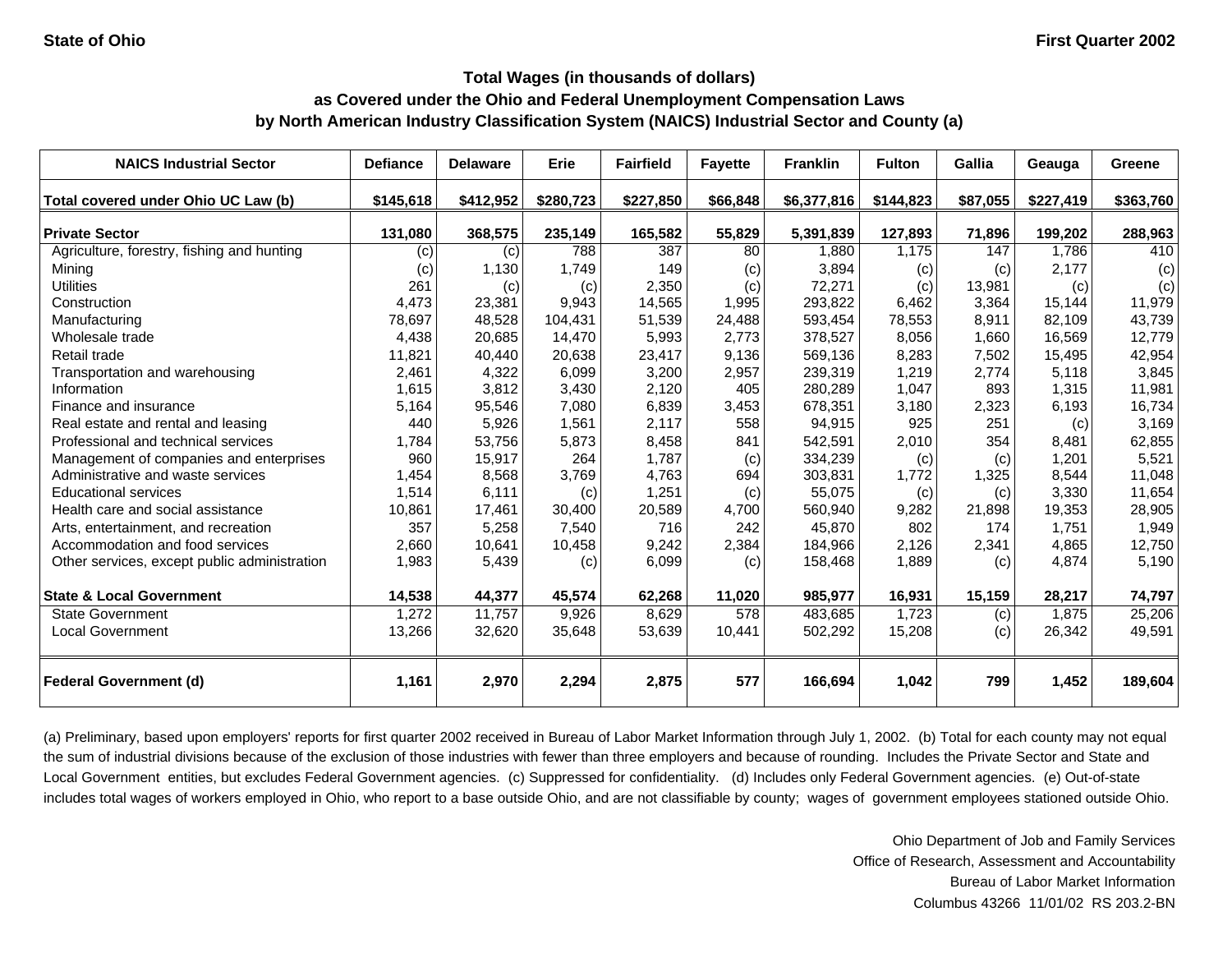### **Total Wages (in thousands of dollars)**

## **as Covered under the Ohio and Federal Unemployment Compensation Laws**

**by North American Industry Classification System (NAICS) Industrial Sector and County (a)**

| <b>NAICS Industrial Sector</b>               | <b>Defiance</b> | <b>Delaware</b> | Erie      | <b>Fairfield</b> | <b>Fayette</b> | <b>Franklin</b> | <b>Fulton</b> | <b>Gallia</b> | Geauga    | Greene    |
|----------------------------------------------|-----------------|-----------------|-----------|------------------|----------------|-----------------|---------------|---------------|-----------|-----------|
| Total covered under Ohio UC Law (b)          | \$145,618       | \$412,952       | \$280,723 | \$227,850        | \$66,848       | \$6,377,816     | \$144,823     | \$87,055      | \$227,419 | \$363,760 |
| <b>Private Sector</b>                        | 131,080         | 368,575         | 235,149   | 165,582          | 55,829         | 5,391,839       | 127,893       | 71,896        | 199,202   | 288,963   |
| Agriculture, forestry, fishing and hunting   | (c)             | (c)             | 788       | 387              | 80             | 1.880           | 1,175         | 147           | 1,786     | 410       |
| Mining                                       | (c)             | 1,130           | 1,749     | 149              | (c)            | 3,894           | (c)           | (c)           | 2,177     | (c)       |
| <b>Utilities</b>                             | 261             | (c)             | (c)       | 2,350            | (c)            | 72,271          | (c)           | 13,981        | (c)       | (c)       |
| Construction                                 | 4,473           | 23,381          | 9,943     | 14,565           | 1,995          | 293,822         | 6,462         | 3,364         | 15,144    | 11,979    |
| Manufacturing                                | 78,697          | 48,528          | 104.431   | 51,539           | 24,488         | 593,454         | 78,553        | 8,911         | 82,109    | 43,739    |
| Wholesale trade                              | 4,438           | 20,685          | 14,470    | 5,993            | 2,773          | 378,527         | 8,056         | 1,660         | 16,569    | 12,779    |
| Retail trade                                 | 11,821          | 40,440          | 20,638    | 23,417           | 9,136          | 569,136         | 8,283         | 7,502         | 15,495    | 42,954    |
| Transportation and warehousing               | 2,461           | 4,322           | 6,099     | 3,200            | 2,957          | 239,319         | 1,219         | 2,774         | 5,118     | 3,845     |
| Information                                  | 1,615           | 3,812           | 3,430     | 2,120            | 405            | 280,289         | 1,047         | 893           | 1,315     | 11,981    |
| Finance and insurance                        | 5,164           | 95,546          | 7,080     | 6,839            | 3,453          | 678,351         | 3,180         | 2,323         | 6,193     | 16,734    |
| Real estate and rental and leasing           | 440             | 5,926           | 1,561     | 2,117            | 558            | 94,915          | 925           | 251           | (c)       | 3,169     |
| Professional and technical services          | 1,784           | 53,756          | 5,873     | 8,458            | 841            | 542,591         | 2,010         | 354           | 8,481     | 62,855    |
| Management of companies and enterprises      | 960             | 15,917          | 264       | 1,787            | (c)            | 334,239         | (c)           | (c)           | 1,201     | 5,521     |
| Administrative and waste services            | 1,454           | 8,568           | 3,769     | 4,763            | 694            | 303,831         | 1,772         | 1,325         | 8,544     | 11,048    |
| <b>Educational services</b>                  | 1,514           | 6,111           | (c)       | 1,251            | (c)            | 55,075          | (c)           | (c)           | 3,330     | 11,654    |
| Health care and social assistance            | 10,861          | 17,461          | 30,400    | 20,589           | 4,700          | 560,940         | 9,282         | 21,898        | 19,353    | 28,905    |
| Arts, entertainment, and recreation          | 357             | 5,258           | 7,540     | 716              | 242            | 45,870          | 802           | 174           | 1,751     | 1,949     |
| Accommodation and food services              | 2,660           | 10,641          | 10,458    | 9,242            | 2,384          | 184,966         | 2,126         | 2,341         | 4,865     | 12,750    |
| Other services, except public administration | 1,983           | 5,439           | (c)       | 6,099            | (c)            | 158,468         | 1,889         | (c)           | 4,874     | 5,190     |
| <b>State &amp; Local Government</b>          | 14,538          | 44,377          | 45,574    | 62,268           | 11,020         | 985,977         | 16,931        | 15,159        | 28,217    | 74,797    |
| <b>State Government</b>                      | 1,272           | 11,757          | 9,926     | 8,629            | 578            | 483,685         | 1,723         | (c)           | 1,875     | 25,206    |
| <b>Local Government</b>                      | 13,266          | 32,620          | 35,648    | 53,639           | 10,441         | 502,292         | 15,208        | (c)           | 26,342    | 49,591    |
| <b>Federal Government (d)</b>                | 1,161           | 2,970           | 2,294     | 2,875            | 577            | 166,694         | 1,042         | 799           | 1,452     | 189,604   |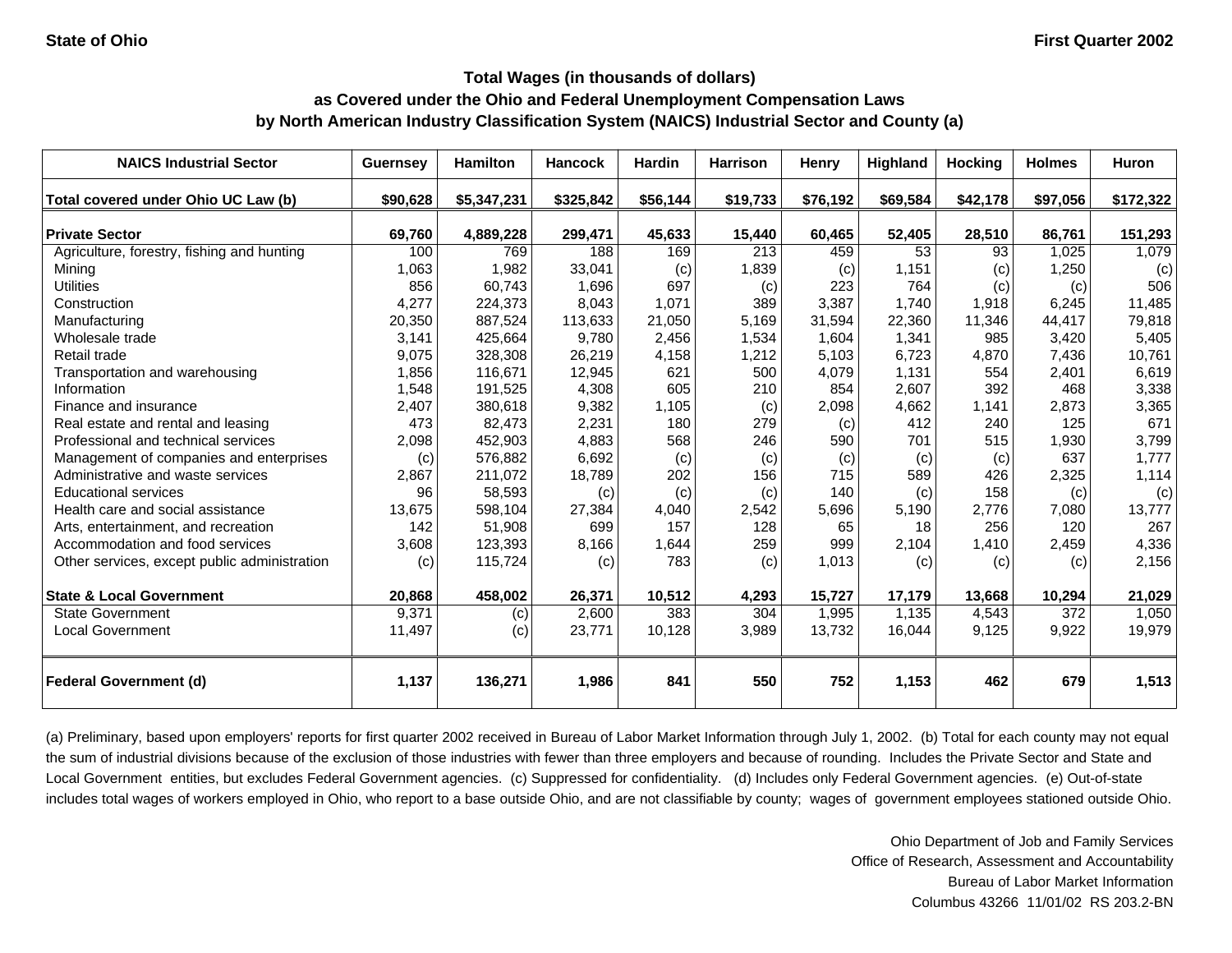| <b>NAICS Industrial Sector</b>               | <b>Guernsey</b> | <b>Hamilton</b> | <b>Hancock</b> | <b>Hardin</b> | <b>Harrison</b> | Henry    | Highland | <b>Hocking</b> | <b>Holmes</b> | Huron     |
|----------------------------------------------|-----------------|-----------------|----------------|---------------|-----------------|----------|----------|----------------|---------------|-----------|
| Total covered under Ohio UC Law (b)          | \$90,628        | \$5,347,231     | \$325,842      | \$56,144      | \$19,733        | \$76,192 | \$69,584 | \$42,178       | \$97,056      | \$172,322 |
| <b>Private Sector</b>                        | 69,760          | 4,889,228       | 299,471        | 45,633        | 15,440          | 60,465   | 52,405   | 28,510         | 86,761        | 151,293   |
| Agriculture, forestry, fishing and hunting   | 100             | 769             | 188            | 169           | 213             | 459      | 53       | 93             | 1,025         | 1,079     |
| Mining                                       | 1,063           | 1,982           | 33,041         | (c)           | 1,839           | (c)      | 1,151    | (c)            | 1,250         | (c)       |
| <b>Utilities</b>                             | 856             | 60,743          | 1,696          | 697           | (c)             | 223      | 764      | (c)            | (c)           | 506       |
| Construction                                 | 4,277           | 224,373         | 8,043          | 1,071         | 389             | 3,387    | 1,740    | 1,918          | 6,245         | 11,485    |
| Manufacturing                                | 20,350          | 887.524         | 113,633        | 21,050        | 5,169           | 31,594   | 22,360   | 11,346         | 44,417        | 79,818    |
| Wholesale trade                              | 3,141           | 425,664         | 9,780          | 2,456         | 1,534           | 1,604    | 1,341    | 985            | 3,420         | 5,405     |
| Retail trade                                 | 9,075           | 328,308         | 26,219         | 4,158         | 1,212           | 5,103    | 6,723    | 4,870          | 7,436         | 10,761    |
| Transportation and warehousing               | 1,856           | 116,671         | 12,945         | 621           | 500             | 4,079    | 1,131    | 554            | 2,401         | 6,619     |
| Information                                  | 1,548           | 191,525         | 4,308          | 605           | 210             | 854      | 2,607    | 392            | 468           | 3,338     |
| Finance and insurance                        | 2,407           | 380,618         | 9,382          | 1,105         | (c)             | 2,098    | 4,662    | 1,141          | 2,873         | 3,365     |
| Real estate and rental and leasing           | 473             | 82,473          | 2,231          | 180           | 279             | (c)      | 412      | 240            | 125           | 671       |
| Professional and technical services          | 2,098           | 452,903         | 4,883          | 568           | 246             | 590      | 701      | 515            | 1,930         | 3,799     |
| Management of companies and enterprises      | (c)             | 576,882         | 6,692          | (c)           | (c)             | (c)      | (c)      | (c)            | 637           | 1,777     |
| Administrative and waste services            | 2,867           | 211,072         | 18,789         | 202           | 156             | 715      | 589      | 426            | 2,325         | 1,114     |
| Educational services                         | 96              | 58,593          | (c)            | (c)           | (c)             | 140      | (c)      | 158            | (c)           | (c)       |
| Health care and social assistance            | 13,675          | 598,104         | 27,384         | 4,040         | 2,542           | 5,696    | 5,190    | 2,776          | 7,080         | 13,777    |
| Arts, entertainment, and recreation          | 142             | 51,908          | 699            | 157           | 128             | 65       | 18       | 256            | 120           | 267       |
| Accommodation and food services              | 3,608           | 123,393         | 8,166          | 1,644         | 259             | 999      | 2,104    | 1,410          | 2,459         | 4,336     |
| Other services, except public administration | (c)             | 115,724         | (c)            | 783           | (c)             | 1,013    | (c)      | (c)            | (c)           | 2,156     |
| <b>State &amp; Local Government</b>          | 20,868          | 458,002         | 26,371         | 10,512        | 4,293           | 15,727   | 17,179   | 13,668         | 10,294        | 21,029    |
| <b>State Government</b>                      | 9,371           | (c)             | 2,600          | 383           | 304             | 1,995    | 1,135    | 4,543          | 372           | 1,050     |
| <b>Local Government</b>                      | 11,497          | (c)             | 23,771         | 10,128        | 3,989           | 13,732   | 16,044   | 9,125          | 9,922         | 19,979    |
| <b>Federal Government (d)</b>                | 1,137           | 136,271         | 1,986          | 841           | 550             | 752      | 1,153    | 462            | 679           | 1,513     |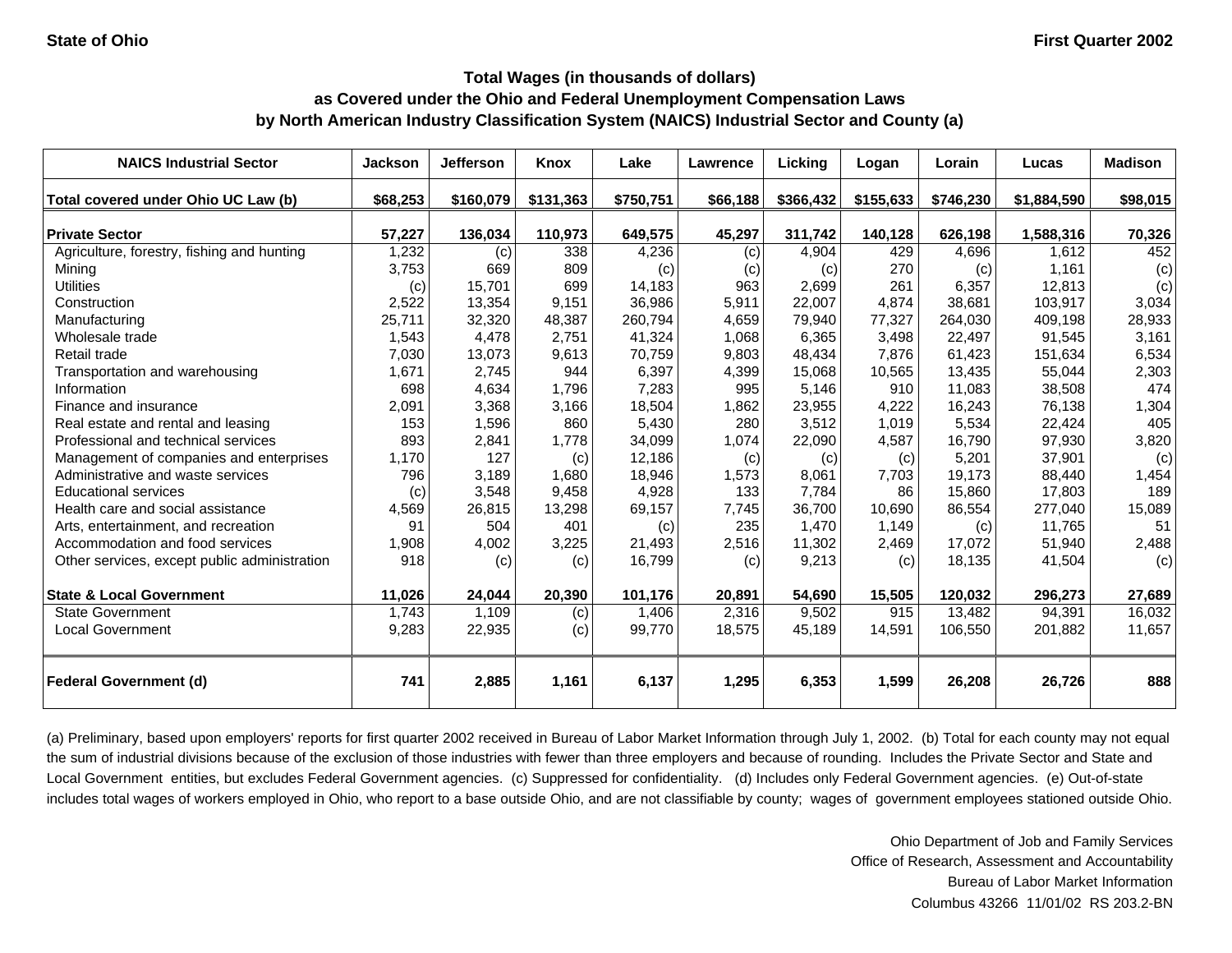| <b>NAICS Industrial Sector</b>               | <b>Jackson</b> | <b>Jefferson</b> | Knox      | Lake      | Lawrence | Licking   | Logan     | Lorain    | Lucas       | <b>Madison</b> |
|----------------------------------------------|----------------|------------------|-----------|-----------|----------|-----------|-----------|-----------|-------------|----------------|
| Total covered under Ohio UC Law (b)          | \$68,253       | \$160,079        | \$131,363 | \$750,751 | \$66,188 | \$366,432 | \$155,633 | \$746,230 | \$1,884,590 | \$98,015       |
| <b>Private Sector</b>                        | 57,227         | 136,034          | 110,973   | 649,575   | 45,297   | 311,742   | 140,128   | 626,198   | 1,588,316   | 70,326         |
| Agriculture, forestry, fishing and hunting   | 1,232          | (c)              | 338       | 4,236     | (c)      | 4,904     | 429       | 4,696     | 1,612       | 452            |
| Mining                                       | 3,753          | 669              | 809       | (c)       | (c)      | (c)       | 270       | (c)       | 1,161       | (c)            |
| <b>Utilities</b>                             | (c)            | 15,701           | 699       | 14,183    | 963      | 2,699     | 261       | 6,357     | 12,813      | (c)            |
| Construction                                 | 2,522          | 13,354           | 9,151     | 36,986    | 5,911    | 22,007    | 4,874     | 38,681    | 103,917     | 3,034          |
| Manufacturing                                | 25,711         | 32,320           | 48,387    | 260,794   | 4,659    | 79,940    | 77,327    | 264,030   | 409,198     | 28,933         |
| Wholesale trade                              | 1,543          | 4,478            | 2,751     | 41,324    | 1,068    | 6,365     | 3,498     | 22,497    | 91,545      | 3,161          |
| Retail trade                                 | 7,030          | 13,073           | 9,613     | 70,759    | 9,803    | 48,434    | 7,876     | 61,423    | 151,634     | 6,534          |
| Transportation and warehousing               | 1,671          | 2,745            | 944       | 6,397     | 4,399    | 15,068    | 10,565    | 13,435    | 55,044      | 2,303          |
| Information                                  | 698            | 4,634            | 1,796     | 7,283     | 995      | 5,146     | 910       | 11,083    | 38,508      | 474            |
| Finance and insurance                        | 2,091          | 3,368            | 3,166     | 18,504    | 1,862    | 23,955    | 4,222     | 16,243    | 76,138      | 1,304          |
| Real estate and rental and leasing           | 153            | 1,596            | 860       | 5,430     | 280      | 3,512     | 1,019     | 5,534     | 22,424      | 405            |
| Professional and technical services          | 893            | 2,841            | 1,778     | 34,099    | 1,074    | 22,090    | 4,587     | 16,790    | 97,930      | 3,820          |
| Management of companies and enterprises      | 1,170          | 127              | (c)       | 12,186    | (c)      | (c)       | (c)       | 5,201     | 37,901      | (c)            |
| Administrative and waste services            | 796            | 3,189            | 1,680     | 18,946    | 1,573    | 8,061     | 7,703     | 19,173    | 88,440      | 1,454          |
| <b>Educational services</b>                  | (c)            | 3,548            | 9,458     | 4,928     | 133      | 7,784     | 86        | 15,860    | 17,803      | 189            |
| Health care and social assistance            | 4,569          | 26,815           | 13,298    | 69,157    | 7,745    | 36,700    | 10,690    | 86,554    | 277,040     | 15,089         |
| Arts, entertainment, and recreation          | 91             | 504              | 401       | (c)       | 235      | 1,470     | 1,149     | (c)       | 11,765      | 51             |
| Accommodation and food services              | 1,908          | 4,002            | 3,225     | 21,493    | 2,516    | 11,302    | 2,469     | 17,072    | 51,940      | 2,488          |
| Other services, except public administration | 918            | (c)              | (c)       | 16,799    | (c)      | 9,213     | (c)       | 18,135    | 41,504      | (c)            |
| <b>State &amp; Local Government</b>          | 11,026         | 24,044           | 20,390    | 101,176   | 20,891   | 54,690    | 15,505    | 120,032   | 296,273     | 27,689         |
| <b>State Government</b>                      | 1,743          | 1,109            | (c)       | 1,406     | 2,316    | 9,502     | 915       | 13,482    | 94,391      | 16,032         |
| <b>Local Government</b>                      | 9,283          | 22,935           | (c)       | 99,770    | 18,575   | 45,189    | 14,591    | 106,550   | 201,882     | 11,657         |
| <b>Federal Government (d)</b>                | 741            | 2,885            | 1,161     | 6,137     | 1,295    | 6,353     | 1,599     | 26,208    | 26,726      | 888            |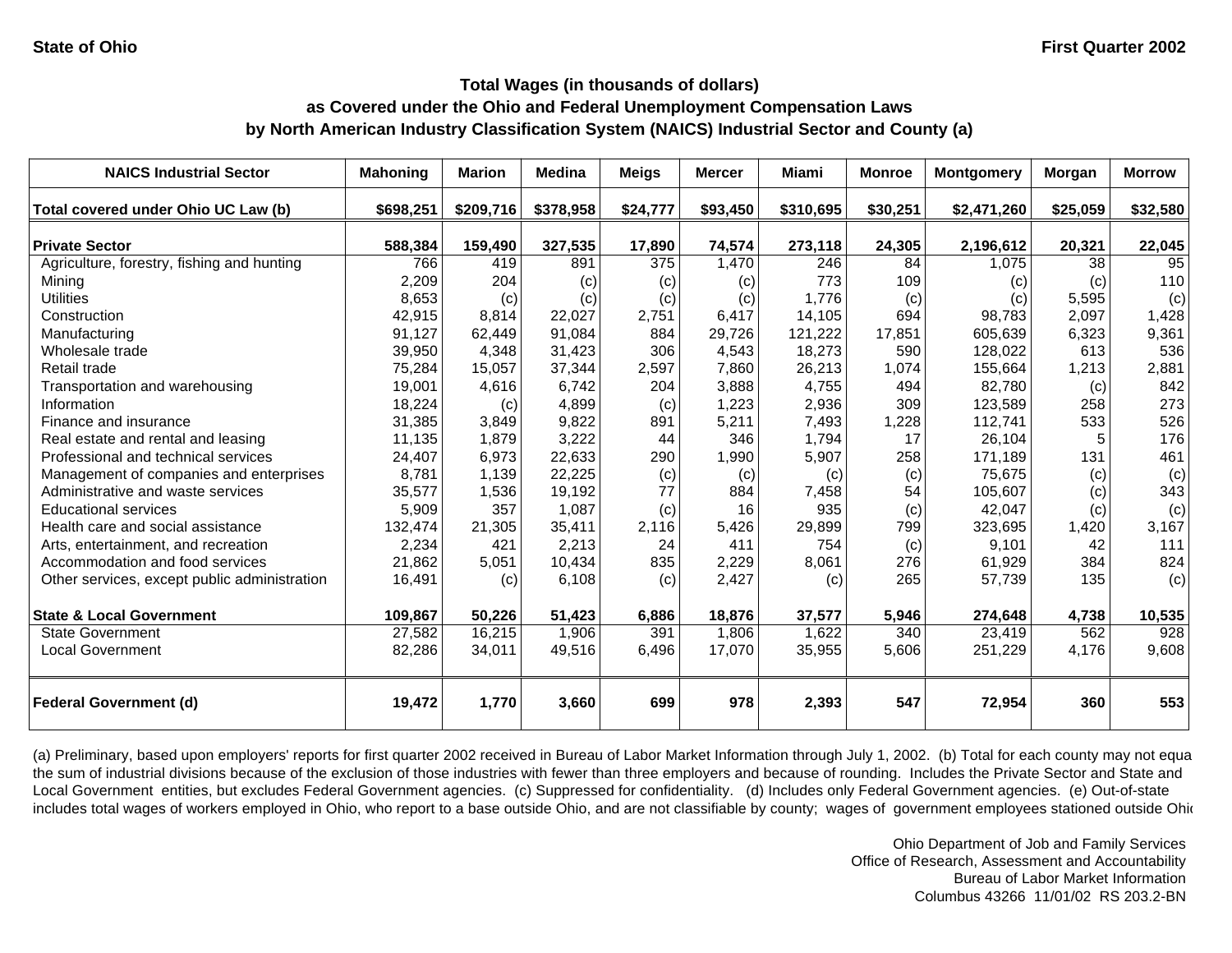# **Total Wages (in thousands of dollars)**

### **as Covered under the Ohio and Federal Unemployment Compensation Laws by North American Industry Classification System (NAICS) Industrial Sector and County (a)**

| <b>NAICS Industrial Sector</b>               | <b>Mahoning</b> | <b>Marion</b> | <b>Medina</b> | <b>Meigs</b> | <b>Mercer</b> | Miami     | <b>Monroe</b> | <b>Montgomery</b> | <b>Morgan</b> | <b>Morrow</b>    |
|----------------------------------------------|-----------------|---------------|---------------|--------------|---------------|-----------|---------------|-------------------|---------------|------------------|
| Total covered under Ohio UC Law (b)          | \$698,251       | \$209,716     | \$378,958     | \$24,777     | \$93,450      | \$310,695 | \$30,251      | \$2,471,260       | \$25,059      | \$32,580         |
| <b>Private Sector</b>                        | 588,384         | 159,490       | 327,535       | 17,890       | 74,574        | 273,118   | 24,305        | 2,196,612         | 20,321        | 22,045           |
| Agriculture, forestry, fishing and hunting   | 766             | 419           | 891           | 375          | 1,470         | 246       | 84            | 1,075             | 38            | 95               |
| Mining                                       | 2,209           | 204           | (c)           | (c)          | (c)           | 773       | 109           | (c)               | (c)           | 110              |
| <b>Utilities</b>                             | 8,653           | (c)           | (c)           | (c)          | (c)           | 1.776     | (c)           | (c)               | 5,595         | (c)              |
| Construction                                 | 42,915          | 8,814         | 22,027        | 2,751        | 6,417         | 14,105    | 694           | 98,783            | 2,097         | 1,428            |
| Manufacturing                                | 91,127          | 62,449        | 91,084        | 884          | 29,726        | 121,222   | 17,851        | 605,639           | 6,323         | 9,361            |
| Wholesale trade                              | 39,950          | 4.348         | 31,423        | 306          | 4,543         | 18,273    | 590           | 128,022           | 613           | 536              |
| Retail trade                                 | 75,284          | 15,057        | 37,344        | 2,597        | 7,860         | 26,213    | 1,074         | 155,664           | 1,213         | 2,881            |
| Transportation and warehousing               | 19,001          | 4,616         | 6,742         | 204          | 3,888         | 4,755     | 494           | 82,780            | (c)           | 842              |
| Information                                  | 18,224          | (c)           | 4,899         | (c)          | 1,223         | 2,936     | 309           | 123,589           | 258           | 273              |
| Finance and insurance                        | 31,385          | 3.849         | 9,822         | 891          | 5,211         | 7,493     | 1,228         | 112,741           | 533           | 526              |
| Real estate and rental and leasing           | 11,135          | 1,879         | 3,222         | 44           | 346           | 1,794     | 17            | 26,104            | 5             | 176              |
| Professional and technical services          | 24,407          | 6,973         | 22,633        | 290          | 1,990         | 5,907     | 258           | 171,189           | 131           | 461              |
| Management of companies and enterprises      | 8,781           | 1,139         | 22,225        | (c)          | (c)           | (c)       | (c)           | 75,675            | (c)           | (c)              |
| Administrative and waste services            | 35,577          | 1,536         | 19,192        | 77           | 884           | 7,458     | 54            | 105,607           | (c)           | 343              |
| <b>Educational services</b>                  | 5,909           | 357           | 1,087         | (c)          | 16            | 935       | (c)           | 42,047            | (c)           | (c)              |
| Health care and social assistance            | 132,474         | 21,305        | 35,411        | 2,116        | 5,426         | 29,899    | 799           | 323,695           | 1,420         | 3,167            |
| Arts, entertainment, and recreation          | 2,234           | 421           | 2,213         | 24           | 411           | 754       | (c)           | 9,101             | 42            | 111              |
| Accommodation and food services              | 21,862          | 5,051         | 10,434        | 835          | 2,229         | 8,061     | 276           | 61,929            | 384           | 824              |
| Other services, except public administration | 16,491          | (c)           | 6,108         | (c)          | 2,427         | (c)       | 265           | 57,739            | 135           | (c)              |
| <b>State &amp; Local Government</b>          | 109,867         | 50,226        | 51,423        | 6,886        | 18,876        | 37,577    | 5,946         | 274,648           | 4,738         | 10,535           |
| <b>State Government</b>                      | 27,582          | 16,215        | 1,906         | 391          | 1,806         | 1,622     | 340           | 23,419            | 562           | $\overline{928}$ |
| <b>Local Government</b>                      | 82,286          | 34,011        | 49,516        | 6,496        | 17,070        | 35,955    | 5,606         | 251,229           | 4,176         | 9,608            |
| <b>Federal Government (d)</b>                | 19,472          | 1,770         | 3,660         | 699          | 978           | 2,393     | 547           | 72,954            | 360           | 553              |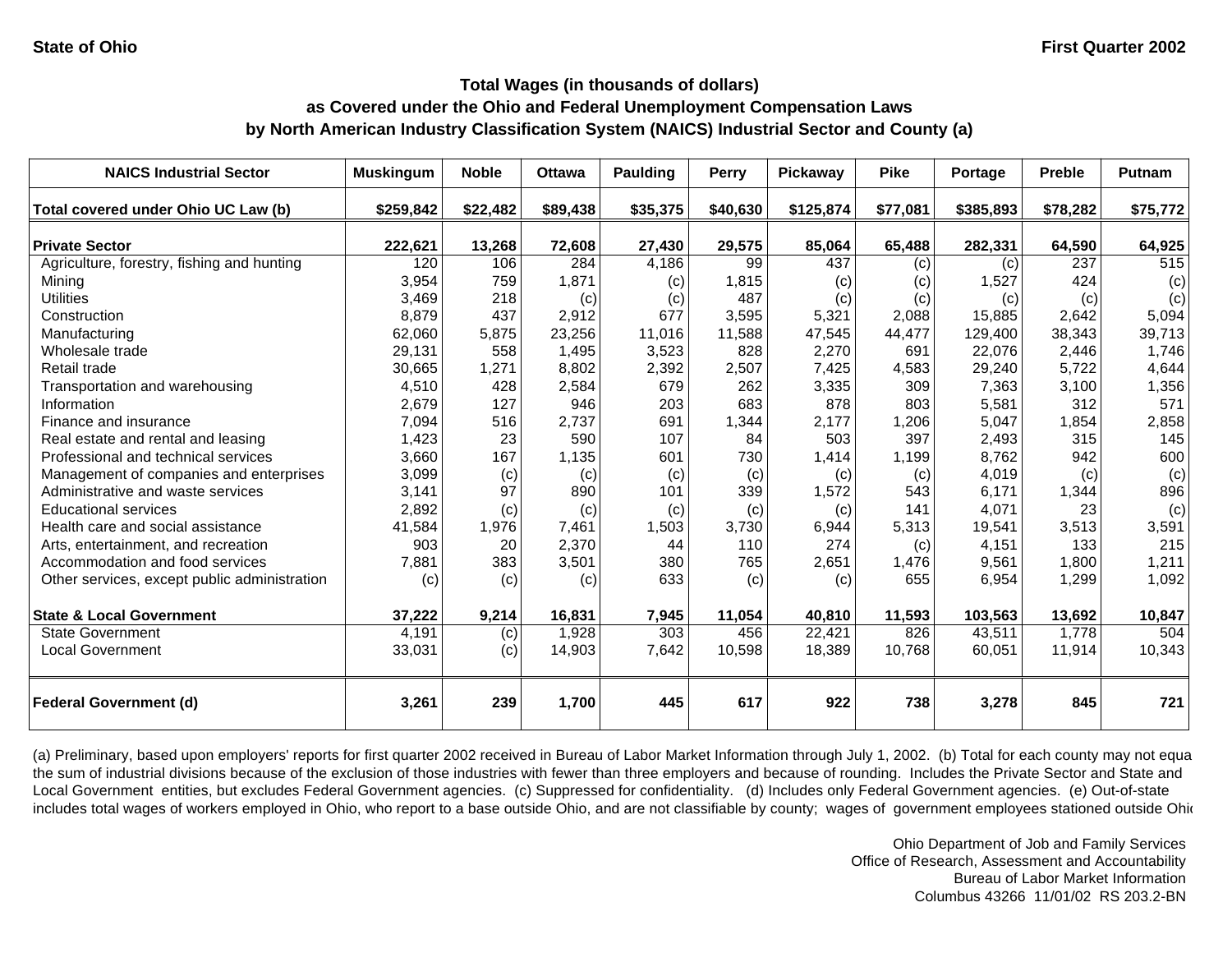# **Total Wages (in thousands of dollars)**

### **as Covered under the Ohio and Federal Unemployment Compensation Laws by North American Industry Classification System (NAICS) Industrial Sector and County (a)**

| <b>NAICS Industrial Sector</b>               | <b>Muskingum</b> | <b>Noble</b> | <b>Ottawa</b> | Paulding | <b>Perry</b> | <b>Pickaway</b> | <b>Pike</b> | Portage   | <b>Preble</b> | <b>Putnam</b> |
|----------------------------------------------|------------------|--------------|---------------|----------|--------------|-----------------|-------------|-----------|---------------|---------------|
| Total covered under Ohio UC Law (b)          | \$259,842        | \$22,482     | \$89,438      | \$35,375 | \$40,630     | \$125,874       | \$77,081    | \$385,893 | \$78,282      | \$75,772      |
| <b>Private Sector</b>                        | 222,621          | 13,268       | 72,608        | 27,430   | 29,575       | 85,064          | 65,488      | 282,331   | 64,590        | 64,925        |
| Agriculture, forestry, fishing and hunting   | 120              | 106          | 284           | 4,186    | 99           | 437             | (c)         | (c)       | 237           | 515           |
| Mining                                       | 3,954            | 759          | 1,871         | (c)      | 1,815        | (c)             | (c)         | 1,527     | 424           | (c)           |
| <b>Utilities</b>                             | 3,469            | 218          | (c)           | (c)      | 487          | (c)             | (c)         | (c)       | (c)           | (c)           |
| Construction                                 | 8,879            | 437          | 2,912         | 677      | 3,595        | 5,321           | 2,088       | 15,885    | 2,642         | 5,094         |
| Manufacturing                                | 62,060           | 5,875        | 23,256        | 11,016   | 11,588       | 47,545          | 44,477      | 129,400   | 38,343        | 39,713        |
| Wholesale trade                              | 29,131           | 558          | 1,495         | 3,523    | 828          | 2,270           | 691         | 22.076    | 2,446         | 1.746         |
| Retail trade                                 | 30,665           | 1,271        | 8,802         | 2,392    | 2,507        | 7,425           | 4,583       | 29,240    | 5,722         | 4,644         |
| Transportation and warehousing               | 4,510            | 428          | 2,584         | 679      | 262          | 3,335           | 309         | 7,363     | 3,100         | 1,356         |
| Information                                  | 2,679            | 127          | 946           | 203      | 683          | 878             | 803         | 5,581     | 312           | 571           |
| Finance and insurance                        | 7,094            | 516          | 2,737         | 691      | 1,344        | 2,177           | 1,206       | 5,047     | 1,854         | 2,858         |
| Real estate and rental and leasing           | 1,423            | 23           | 590           | 107      | 84           | 503             | 397         | 2,493     | 315           | 145           |
| Professional and technical services          | 3,660            | 167          | 1,135         | 601      | 730          | 1,414           | 1,199       | 8,762     | 942           | 600           |
| Management of companies and enterprises      | 3,099            | (c)          | (c)           | (c)      | (c)          | (c)             | (c)         | 4,019     | (c)           | (c)           |
| Administrative and waste services            | 3,141            | 97           | 890           | 101      | 339          | 1,572           | 543         | 6,171     | 1,344         | 896           |
| <b>Educational services</b>                  | 2,892            | (c)          | (c)           | (c)      | (c)          | (c)             | 141         | 4,071     | 23            | (c)           |
| Health care and social assistance            | 41,584           | 1,976        | 7.461         | 1,503    | 3,730        | 6,944           | 5,313       | 19,541    | 3,513         | 3,591         |
| Arts, entertainment, and recreation          | 903              | 20           | 2,370         | 44       | 110          | 274             | (c)         | 4,151     | 133           | 215           |
| Accommodation and food services              | 7,881            | 383          | 3,501         | 380      | 765          | 2,651           | 1,476       | 9,561     | 1,800         | 1,211         |
| Other services, except public administration | (c)              | (c)          | (c)           | 633      | (c)          | (c)             | 655         | 6,954     | 1,299         | 1,092         |
| <b>State &amp; Local Government</b>          | 37,222           | 9,214        | 16,831        | 7,945    | 11,054       | 40,810          | 11,593      | 103,563   | 13,692        | 10,847        |
| <b>State Government</b>                      | 4,191            | (c)          | 1,928         | 303      | 456          | 22,421          | 826         | 43,511    | 1,778         | 504           |
| <b>Local Government</b>                      | 33,031           | (c)          | 14,903        | 7,642    | 10,598       | 18,389          | 10,768      | 60,051    | 11,914        | 10,343        |
| <b>Federal Government (d)</b>                | 3,261            | 239          | 1,700         | 445      | 617          | 922             | 738         | 3,278     | 845           | 721           |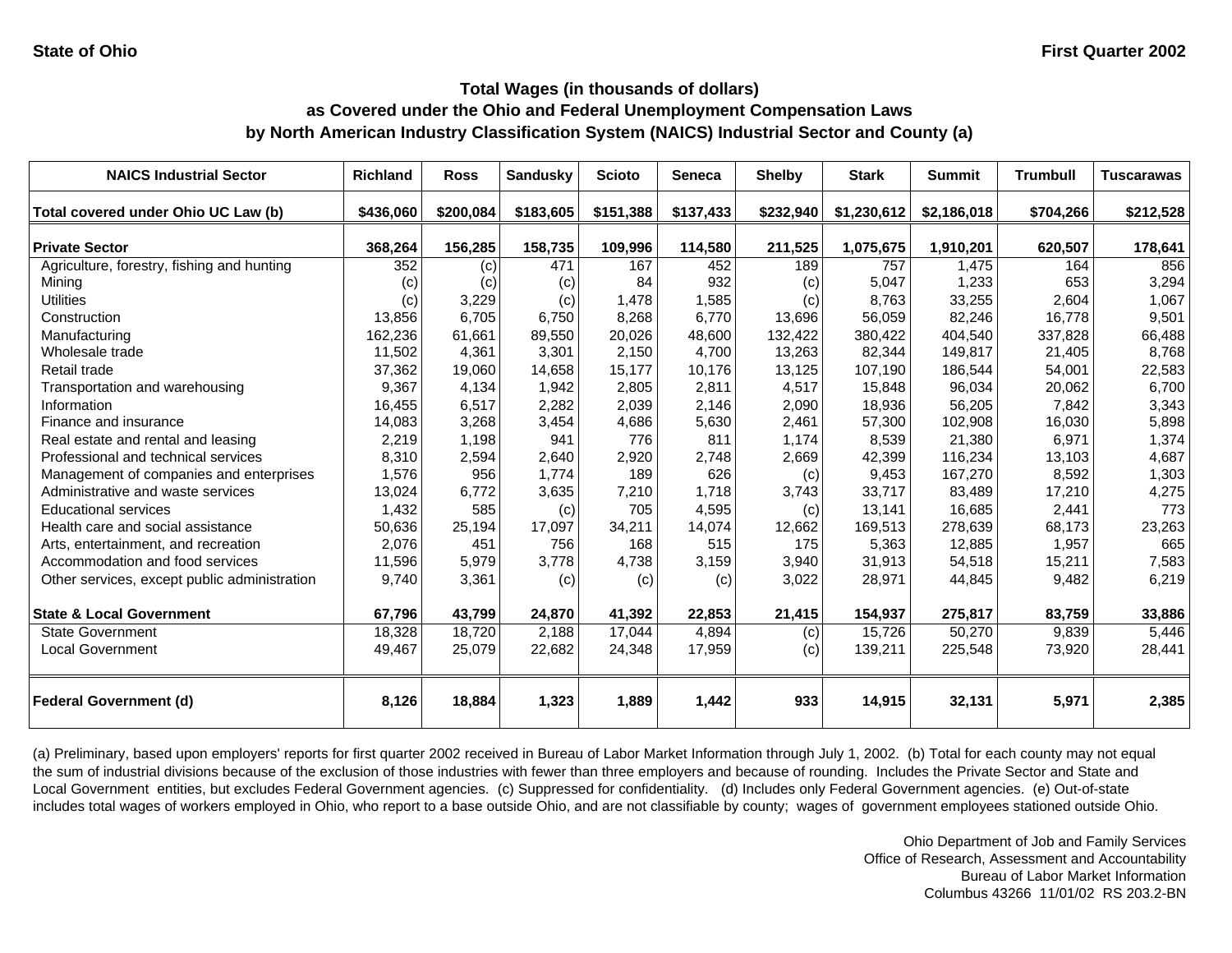| <b>NAICS Industrial Sector</b>               | <b>Richland</b> | <b>Ross</b> | <b>Sandusky</b> | <b>Scioto</b> | <b>Seneca</b> | <b>Shelby</b> | <b>Stark</b> | <b>Summit</b> | <b>Trumbull</b> | <b>Tuscarawas</b> |
|----------------------------------------------|-----------------|-------------|-----------------|---------------|---------------|---------------|--------------|---------------|-----------------|-------------------|
| Total covered under Ohio UC Law (b)          | \$436,060       | \$200,084   | \$183,605       | \$151,388     | \$137,433     | \$232,940     | \$1,230,612  | \$2,186,018   | \$704,266       | \$212,528         |
| <b>Private Sector</b>                        | 368,264         | 156,285     | 158,735         | 109,996       | 114,580       | 211,525       | 1,075,675    | 1,910,201     | 620,507         | 178,641           |
| Agriculture, forestry, fishing and hunting   | 352             | (c)         | 471             | 167           | 452           | 189           | 757          | 1,475         | 164             | 856               |
| Mining                                       | (c)             | (c)         | (c)             | 84            | 932           | (c)           | 5,047        | 1,233         | 653             | 3,294             |
| <b>Utilities</b>                             | (c)             | 3,229       | (c)             | 1,478         | 1,585         | (c)           | 8,763        | 33,255        | 2,604           | 1,067             |
| Construction                                 | 13,856          | 6,705       | 6,750           | 8,268         | 6,770         | 13,696        | 56,059       | 82,246        | 16,778          | 9,501             |
| Manufacturing                                | 162,236         | 61,661      | 89,550          | 20,026        | 48,600        | 132,422       | 380,422      | 404,540       | 337,828         | 66,488            |
| Wholesale trade                              | 11,502          | 4,361       | 3,301           | 2,150         | 4,700         | 13,263        | 82,344       | 149,817       | 21,405          | 8,768             |
| Retail trade                                 | 37,362          | 19,060      | 14.658          | 15,177        | 10.176        | 13,125        | 107,190      | 186,544       | 54,001          | 22,583            |
| Transportation and warehousing               | 9,367           | 4,134       | 1,942           | 2,805         | 2,811         | 4,517         | 15,848       | 96,034        | 20,062          | 6,700             |
| Information                                  | 16,455          | 6,517       | 2,282           | 2,039         | 2,146         | 2,090         | 18,936       | 56,205        | 7,842           | 3,343             |
| Finance and insurance                        | 14,083          | 3,268       | 3,454           | 4,686         | 5,630         | 2,461         | 57,300       | 102,908       | 16,030          | 5,898             |
| Real estate and rental and leasing           | 2,219           | 1,198       | 941             | 776           | 811           | 1,174         | 8,539        | 21,380        | 6,971           | 1,374             |
| Professional and technical services          | 8,310           | 2,594       | 2,640           | 2,920         | 2,748         | 2,669         | 42,399       | 116,234       | 13,103          | 4,687             |
| Management of companies and enterprises      | 1,576           | 956         | 1,774           | 189           | 626           | (c)           | 9,453        | 167,270       | 8,592           | 1,303             |
| Administrative and waste services            | 13,024          | 6,772       | 3,635           | 7,210         | 1,718         | 3,743         | 33,717       | 83,489        | 17,210          | 4,275             |
| <b>Educational services</b>                  | 1,432           | 585         | (c)             | 705           | 4,595         | (c)           | 13,141       | 16,685        | 2,441           | 773               |
| Health care and social assistance            | 50,636          | 25,194      | 17,097          | 34,211        | 14,074        | 12,662        | 169,513      | 278,639       | 68,173          | 23,263            |
| Arts, entertainment, and recreation          | 2,076           | 451         | 756             | 168           | 515           | 175           | 5,363        | 12,885        | 1,957           | 665               |
| Accommodation and food services              | 11,596          | 5,979       | 3,778           | 4,738         | 3,159         | 3,940         | 31,913       | 54,518        | 15,211          | 7,583             |
| Other services, except public administration | 9,740           | 3,361       | (c)             | (c)           | (c)           | 3,022         | 28,971       | 44,845        | 9,482           | 6,219             |
| <b>State &amp; Local Government</b>          | 67,796          | 43,799      | 24,870          | 41,392        | 22,853        | 21,415        | 154,937      | 275,817       | 83,759          | 33,886            |
| <b>State Government</b>                      | 18,328          | 18,720      | 2,188           | 17,044        | 4,894         | (c)           | 15,726       | 50,270        | 9,839           | 5,446             |
| <b>Local Government</b>                      | 49,467          | 25,079      | 22,682          | 24,348        | 17,959        | (c)           | 139,211      | 225,548       | 73,920          | 28,441            |
| <b>Federal Government (d)</b>                | 8,126           | 18,884      | 1,323           | 1,889         | 1,442         | 933           | 14,915       | 32,131        | 5,971           | 2,385             |